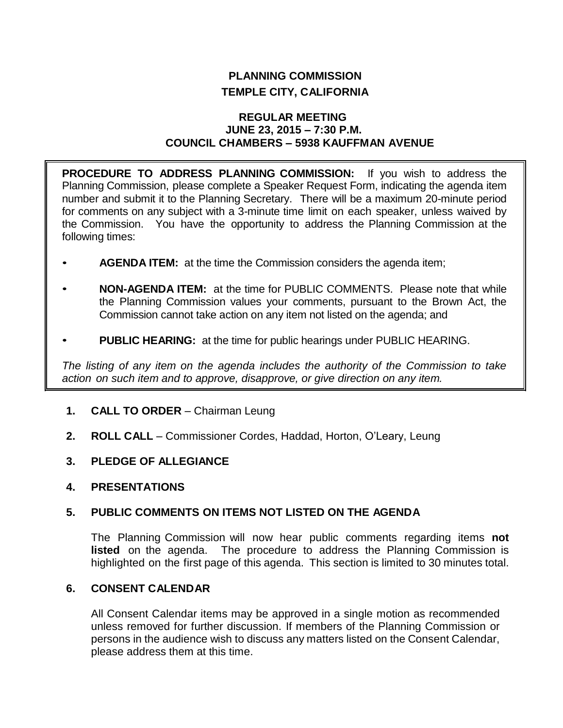# **PLANNING COMMISSION TEMPLE CITY, CALIFORNIA**

## **REGULAR MEETING JUNE 23, 2015 – 7:30 P.M. COUNCIL CHAMBERS – 5938 KAUFFMAN AVENUE**

**PROCEDURE TO ADDRESS PLANNING COMMISSION:** If you wish to address the Planning Commission, please complete a Speaker Request Form, indicating the agenda item number and submit it to the Planning Secretary. There will be a maximum 20-minute period for comments on any subject with a 3-minute time limit on each speaker, unless waived by the Commission. You have the opportunity to address the Planning Commission at the following times:

- **AGENDA ITEM:** at the time the Commission considers the agenda item;
- **NON-AGENDA ITEM:** at the time for PUBLIC COMMENTS. Please note that while the Planning Commission values your comments, pursuant to the Brown Act, the Commission cannot take action on any item not listed on the agenda; and
- **PUBLIC HEARING:** at the time for public hearings under PUBLIC HEARING.

*The listing of any item on the agenda includes the authority of the Commission to take action on such item and to approve, disapprove, or give direction on any item.*

- **1. CALL TO ORDER**  Chairman Leung
- **2. ROLL CALL**  Commissioner Cordes, Haddad, Horton, O'Leary, Leung
- **3. PLEDGE OF ALLEGIANCE**
- **4. PRESENTATIONS**

# **5. PUBLIC COMMENTS ON ITEMS NOT LISTED ON THE AGENDA**

The Planning Commission will now hear public comments regarding items **not listed** on the agenda. The procedure to address the Planning Commission is highlighted on the first page of this agenda. This section is limited to 30 minutes total.

# **6. CONSENT CALENDAR**

All Consent Calendar items may be approved in a single motion as recommended unless removed for further discussion. If members of the Planning Commission or persons in the audience wish to discuss any matters listed on the Consent Calendar, please address them at this time.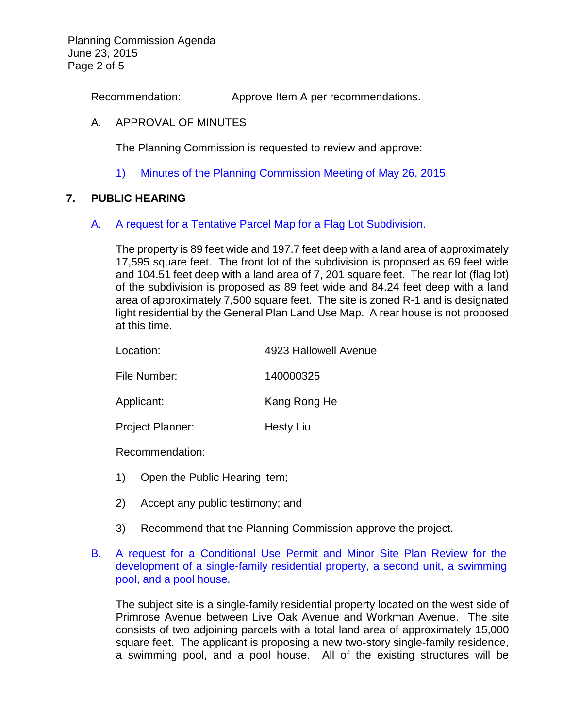Planning Commission Agenda June 23, 2015 Page 2 of 5

Recommendation: Approve Item A per recommendations.

## A. APPROVAL OF MINUTES

The Planning Commission is requested to review and approve:

1) Minutes of the [Planning Commission Meeting](http://ca-templecity.civicplus.com/DocumentCenter/View/3892) of May 26, 2015.

## **7. PUBLIC HEARING**

#### A. [A request for a Tentative Parcel Map for a Flag Lot Subdivision.](http://ca-templecity.civicplus.com/DocumentCenter/View/3893)

The property is 89 feet wide and 197.7 feet deep with a land area of approximately 17,595 square feet. The front lot of the subdivision is proposed as 69 feet wide and 104.51 feet deep with a land area of 7, 201 square feet. The rear lot (flag lot) of the subdivision is proposed as 89 feet wide and 84.24 feet deep with a land area of approximately 7,500 square feet. The site is zoned R-1 and is designated light residential by the General Plan Land Use Map. A rear house is not proposed at this time.

| Location:               | 4923 Hallowell Avenue |
|-------------------------|-----------------------|
| File Number:            | 140000325             |
| Applicant:              | Kang Rong He          |
| <b>Project Planner:</b> | Hesty Liu             |
|                         |                       |

Recommendation:

- 1) Open the Public Hearing item;
- 2) Accept any public testimony; and
- 3) Recommend that the Planning Commission approve the project.

# B. A request for a [Conditional Use Permit and Minor Site Plan Review for the](http://ca-templecity.civicplus.com/DocumentCenter/View/3894)  [development of a single-family residential property,](http://ca-templecity.civicplus.com/DocumentCenter/View/3894) a second unit, a swimming [pool, and a pool house.](http://ca-templecity.civicplus.com/DocumentCenter/View/3894)

The subject site is a single-family residential property located on the west side of Primrose Avenue between Live Oak Avenue and Workman Avenue. The site consists of two adjoining parcels with a total land area of approximately 15,000 square feet. The applicant is proposing a new two-story single-family residence, a swimming pool, and a pool house. All of the existing structures will be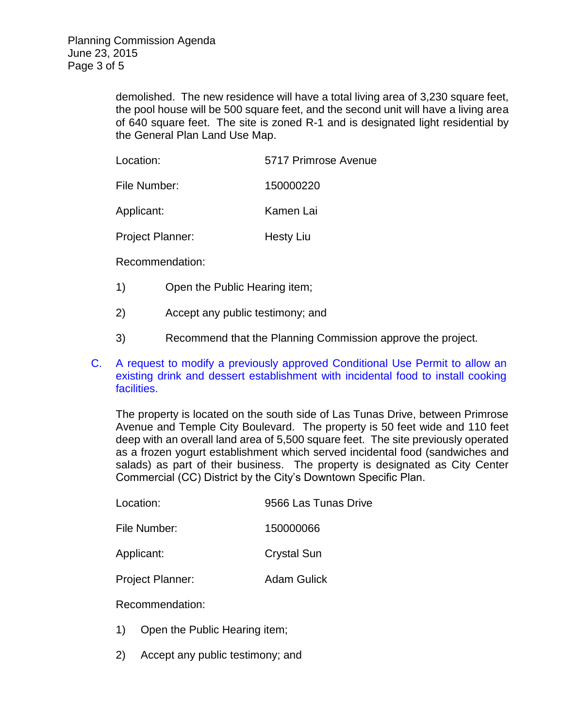demolished. The new residence will have a total living area of 3,230 square feet, the pool house will be 500 square feet, and the second unit will have a living area of 640 square feet. The site is zoned R-1 and is designated light residential by the General Plan Land Use Map.

| Location:        | 5717 Primrose Avenue |
|------------------|----------------------|
| File Number:     | 150000220            |
| Applicant:       | Kamen Lai            |
| Project Planner: | Hesty Liu            |

Recommendation:

- 1) Open the Public Hearing item;
- 2) Accept any public testimony; and
- 3) Recommend that the Planning Commission approve the project.
- C. A request to modify a [previously approved Conditional Use Permit to allow an](http://ca-templecity.civicplus.com/DocumentCenter/View/3913)  [existing drink and dessert establishment with incidental food to install cooking](http://ca-templecity.civicplus.com/DocumentCenter/View/3913)  [facilities.](http://ca-templecity.civicplus.com/DocumentCenter/View/3913)

The property is located on the south side of Las Tunas Drive, between Primrose Avenue and Temple City Boulevard. The property is 50 feet wide and 110 feet deep with an overall land area of 5,500 square feet. The site previously operated as a frozen yogurt establishment which served incidental food (sandwiches and salads) as part of their business. The property is designated as City Center Commercial (CC) District by the City's Downtown Specific Plan.

| Location: | 9566 Las Tunas Drive |
|-----------|----------------------|
|           |                      |

File Number: 150000066

Applicant: Crystal Sun

Project Planner: Adam Gulick

Recommendation:

- 1) Open the Public Hearing item;
- 2) Accept any public testimony; and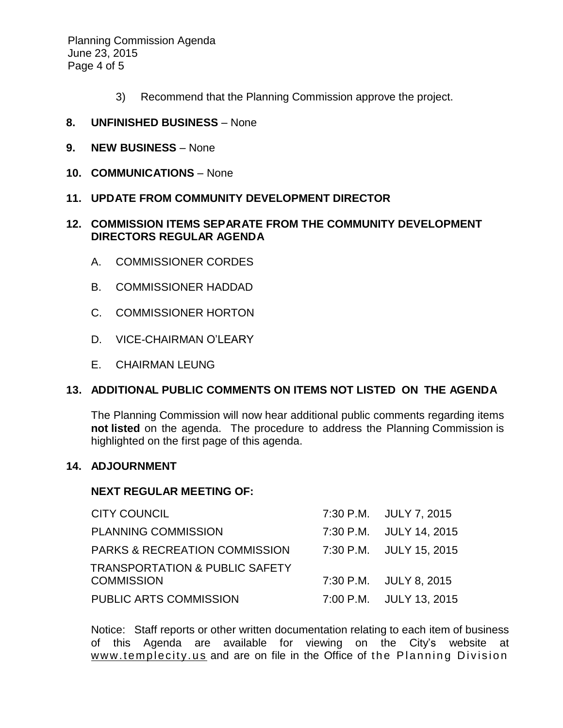Planning Commission Agenda June 23, 2015 Page 4 of 5

- 3) Recommend that the Planning Commission approve the project.
- **8. UNFINISHED BUSINESS** None
- **9. NEW BUSINESS** None
- **10. COMMUNICATIONS** None
- **11. UPDATE FROM COMMUNITY DEVELOPMENT DIRECTOR**

# **12. COMMISSION ITEMS SEPARATE FROM THE COMMUNITY DEVELOPMENT DIRECTORS REGULAR AGENDA**

- A. COMMISSIONER CORDES
- B. COMMISSIONER HADDAD
- C. COMMISSIONER HORTON
- D. VICE-CHAIRMAN O'LEARY
- E. CHAIRMAN LEUNG

#### **13. ADDITIONAL PUBLIC COMMENTS ON ITEMS NOT LISTED ON THE AGENDA**

The Planning Commission will now hear additional public comments regarding items **not listed** on the agenda. The procedure to address the Planning Commission is highlighted on the first page of this agenda.

## **14. ADJOURNMENT**

## **NEXT REGULAR MEETING OF:**

| <b>CITY COUNCIL</b>                       | 7:30 P.M. JULY 7, 2015  |
|-------------------------------------------|-------------------------|
| <b>PLANNING COMMISSION</b>                | 7:30 P.M. JULY 14, 2015 |
| <b>PARKS &amp; RECREATION COMMISSION</b>  | 7:30 P.M. JULY 15, 2015 |
| <b>TRANSPORTATION &amp; PUBLIC SAFETY</b> |                         |
| <b>COMMISSION</b>                         | 7:30 P.M. JULY 8, 2015  |
| PUBLIC ARTS COMMISSION                    | 7:00 P.M. JULY 13, 2015 |

Notice: Staff reports or other written documentation relating to each item of business of this Agenda are available for viewing on the City's website at www.templecity.us and are on file in the Office of the Planning Division